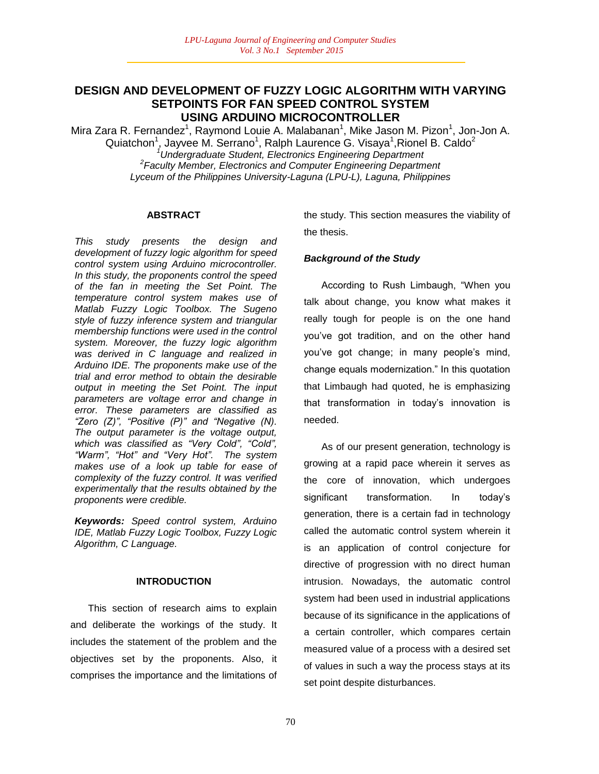## **DESIGN AND DEVELOPMENT OF FUZZY LOGIC ALGORITHM WITH VARYING SETPOINTS FOR FAN SPEED CONTROL SYSTEM USING ARDUINO MICROCONTROLLER**

Mira Zara R. Fernandez<sup>1</sup>, Raymond Louie A. Malabanan<sup>1</sup>, Mike Jason M. Pizon<sup>1</sup>, Jon-Jon A. Quiatchon<sup>1</sup>, Jayvee M. Serrano<sup>1</sup>, Ralph Laurence G. Visaya<sup>1</sup>, Rionel B. Caldo<sup>2</sup> *<sup>1</sup>Undergraduate Student, Electronics Engineering Department 2 Faculty Member, Electronics and Computer Engineering Department Lyceum of the Philippines University-Laguna (LPU-L), Laguna, Philippines*

#### **ABSTRACT**

*This study presents the design and development of fuzzy logic algorithm for speed control system using Arduino microcontroller. In this study, the proponents control the speed of the fan in meeting the Set Point. The temperature control system makes use of Matlab Fuzzy Logic Toolbox. The Sugeno style of fuzzy inference system and triangular membership functions were used in the control system. Moreover, the fuzzy logic algorithm was derived in C language and realized in Arduino IDE. The proponents make use of the trial and error method to obtain the desirable output in meeting the Set Point. The input parameters are voltage error and change in error. These parameters are classified as "Zero (Z)", "Positive (P)" and "Negative (N). The output parameter is the voltage output, which was classified as "Very Cold", "Cold", "Warm", "Hot" and "Very Hot". The system makes use of a look up table for ease of complexity of the fuzzy control. It was verified experimentally that the results obtained by the proponents were credible.*

*Keywords: Speed control system, Arduino IDE, Matlab Fuzzy Logic Toolbox, Fuzzy Logic Algorithm, C Language.*

#### **INTRODUCTION**

This section of research aims to explain and deliberate the workings of the study. It includes the statement of the problem and the objectives set by the proponents. Also, it comprises the importance and the limitations of the study. This section measures the viability of the thesis.

### *Background of the Study*

According to Rush Limbaugh, "When you talk about change, you know what makes it really tough for people is on the one hand you"ve got tradition, and on the other hand you"ve got change; in many people"s mind, change equals modernization." In this quotation that Limbaugh had quoted, he is emphasizing that transformation in today"s innovation is needed.

As of our present generation, technology is growing at a rapid pace wherein it serves as the core of innovation, which undergoes significant transformation. In today's generation, there is a certain fad in technology called the automatic control system wherein it is an application of control conjecture for directive of progression with no direct human intrusion. Nowadays, the automatic control system had been used in industrial applications because of its significance in the applications of a certain controller, which compares certain measured value of a process with a desired set of values in such a way the process stays at its set point despite disturbances.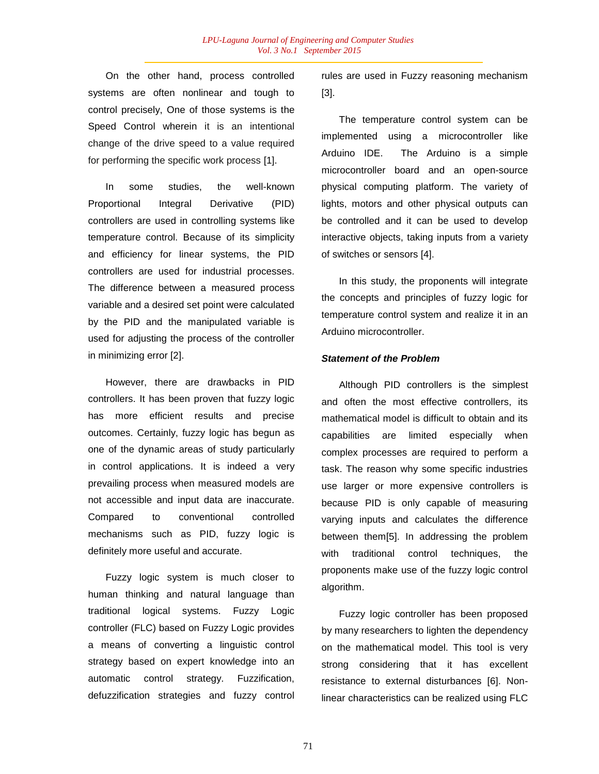On the other hand, process controlled systems are often nonlinear and tough to control precisely, One of those systems is the Speed Control wherein it is an intentional change of the drive speed to a value required for performing the specific work process [1].

In some studies, the well-known Proportional Integral Derivative (PID) controllers are used in controlling systems like temperature control. Because of its simplicity and efficiency for linear systems, the PID controllers are used for industrial processes. The difference between a measured process variable and a desired set point were calculated by the PID and the manipulated variable is used for adjusting the process of the controller in minimizing error [2].

However, there are drawbacks in PID controllers. It has been proven that fuzzy logic has more efficient results and precise outcomes. Certainly, fuzzy logic has begun as one of the dynamic areas of study particularly in control applications. It is indeed a very prevailing process when measured models are not accessible and input data are inaccurate. Compared to conventional controlled mechanisms such as PID, fuzzy logic is definitely more useful and accurate.

Fuzzy logic system is much closer to human thinking and natural language than traditional logical systems. Fuzzy Logic controller (FLC) based on Fuzzy Logic provides a means of converting a linguistic control strategy based on expert knowledge into an automatic control strategy. Fuzzification, defuzzification strategies and fuzzy control rules are used in Fuzzy reasoning mechanism [3].

The temperature control system can be implemented using a microcontroller like Arduino IDE. The Arduino is a simple microcontroller board and an open-source physical computing platform. The variety of lights, motors and other physical outputs can be controlled and it can be used to develop interactive objects, taking inputs from a variety of switches or sensors [4].

In this study, the proponents will integrate the concepts and principles of fuzzy logic for temperature control system and realize it in an Arduino microcontroller.

#### *Statement of the Problem*

Although PID controllers is the simplest and often the most effective controllers, its mathematical model is difficult to obtain and its capabilities are limited especially when complex processes are required to perform a task. The reason why some specific industries use larger or more expensive controllers is because PID is only capable of measuring varying inputs and calculates the difference between them[5]. In addressing the problem with traditional control techniques, the proponents make use of the fuzzy logic control algorithm.

Fuzzy logic controller has been proposed by many researchers to lighten the dependency on the mathematical model. This tool is very strong considering that it has excellent resistance to external disturbances [6]. Nonlinear characteristics can be realized using FLC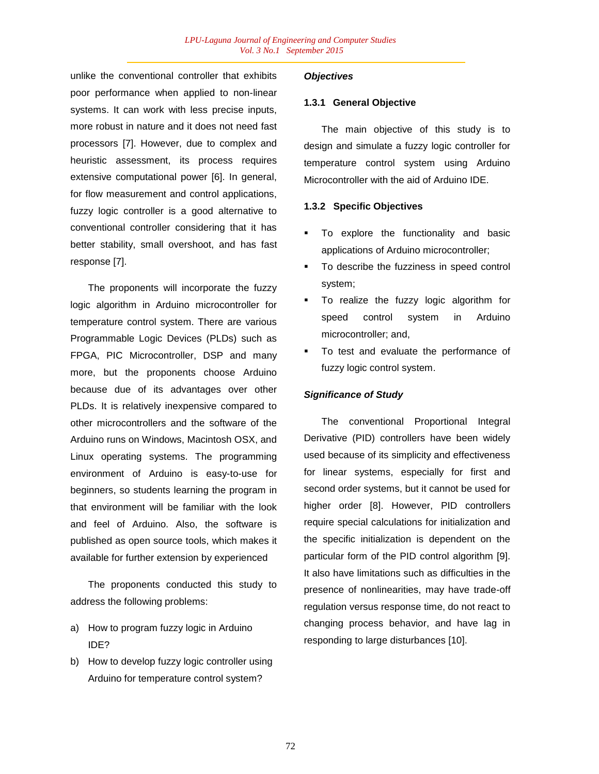unlike the conventional controller that exhibits poor performance when applied to non-linear systems. It can work with less precise inputs, more robust in nature and it does not need fast processors [7]. However, due to complex and heuristic assessment, its process requires extensive computational power [6]. In general, for flow measurement and control applications, fuzzy logic controller is a good alternative to conventional controller considering that it has better stability, small overshoot, and has fast response [7].

The proponents will incorporate the fuzzy logic algorithm in Arduino microcontroller for temperature control system. There are various Programmable Logic Devices (PLDs) such as FPGA, PIC Microcontroller, DSP and many more, but the proponents choose Arduino because due of its advantages over other PLDs. It is relatively inexpensive compared to other microcontrollers and the software of the Arduino runs on Windows, Macintosh OSX, and Linux operating systems. The programming environment of Arduino is easy-to-use for beginners, so students learning the program in that environment will be familiar with the look and feel of Arduino. Also, the software is published as open source tools, which makes it available for further extension by experienced

The proponents conducted this study to address the following problems:

- a) How to program fuzzy logic in Arduino IDE?
- b) How to develop fuzzy logic controller using Arduino for temperature control system?

### *Objectives*

#### **1.3.1 General Objective**

The main objective of this study is to design and simulate a fuzzy logic controller for temperature control system using Arduino Microcontroller with the aid of Arduino IDE.

#### **1.3.2 Specific Objectives**

- To explore the functionality and basic applications of Arduino microcontroller;
- To describe the fuzziness in speed control system;
- To realize the fuzzy logic algorithm for speed control system in Arduino microcontroller; and,
- To test and evaluate the performance of fuzzy logic control system.

### *Significance of Study*

The conventional Proportional Integral Derivative (PID) controllers have been widely used because of its simplicity and effectiveness for linear systems, especially for first and second order systems, but it cannot be used for higher order [8]. However, PID controllers require special calculations for initialization and the specific initialization is dependent on the particular form of the PID control algorithm [9]. It also have limitations such as difficulties in the presence of nonlinearities, may have trade-off regulation versus response time, do not react to changing process behavior, and have lag in responding to large disturbances [10].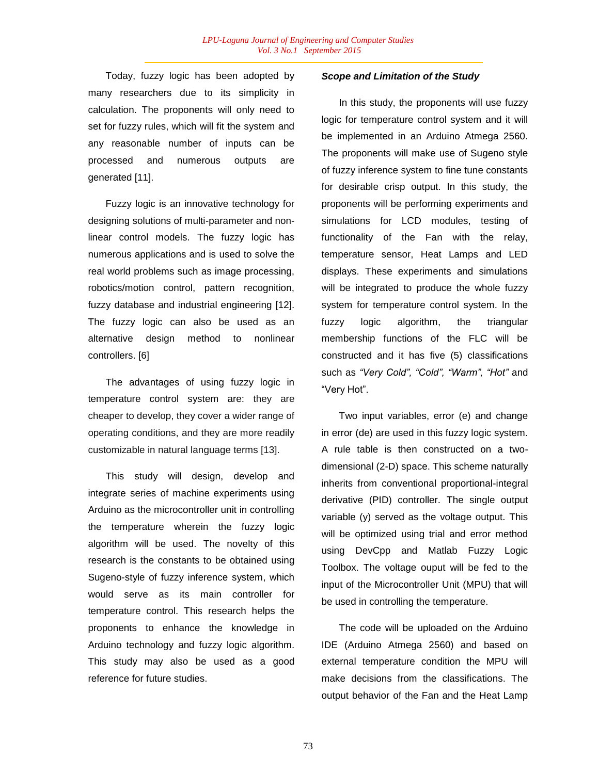Today, fuzzy logic has been adopted by many researchers due to its simplicity in calculation. The proponents will only need to set for fuzzy rules, which will fit the system and any reasonable number of inputs can be processed and numerous outputs are generated [11].

Fuzzy logic is an innovative technology for designing solutions of multi-parameter and nonlinear control models. The fuzzy logic has numerous applications and is used to solve the real world problems such as image processing, robotics/motion control, pattern recognition, fuzzy database and industrial engineering [12]. The fuzzy logic can also be used as an alternative design method to nonlinear controllers. [6]

The advantages of using fuzzy logic in temperature control system are: they are cheaper to develop, they cover a wider range of operating conditions, and they are more readily customizable in natural language terms [13].

This study will design, develop and integrate series of machine experiments using Arduino as the microcontroller unit in controlling the temperature wherein the fuzzy logic algorithm will be used. The novelty of this research is the constants to be obtained using Sugeno-style of fuzzy inference system, which would serve as its main controller for temperature control. This research helps the proponents to enhance the knowledge in Arduino technology and fuzzy logic algorithm. This study may also be used as a good reference for future studies.

#### *Scope and Limitation of the Study*

In this study, the proponents will use fuzzy logic for temperature control system and it will be implemented in an Arduino Atmega 2560. The proponents will make use of Sugeno style of fuzzy inference system to fine tune constants for desirable crisp output. In this study, the proponents will be performing experiments and simulations for LCD modules, testing of functionality of the Fan with the relay, temperature sensor, Heat Lamps and LED displays. These experiments and simulations will be integrated to produce the whole fuzzy system for temperature control system. In the fuzzy logic algorithm, the triangular membership functions of the FLC will be constructed and it has five (5) classifications such as *"Very Cold", "Cold", "Warm", "Hot"* and "Very Hot".

Two input variables, error (e) and change in error (de) are used in this fuzzy logic system. A rule table is then constructed on a twodimensional (2-D) space. This scheme naturally inherits from conventional proportional-integral derivative (PID) controller. The single output variable (y) served as the voltage output. This will be optimized using trial and error method using DevCpp and Matlab Fuzzy Logic Toolbox. The voltage ouput will be fed to the input of the Microcontroller Unit (MPU) that will be used in controlling the temperature.

The code will be uploaded on the Arduino IDE (Arduino Atmega 2560) and based on external temperature condition the MPU will make decisions from the classifications. The output behavior of the Fan and the Heat Lamp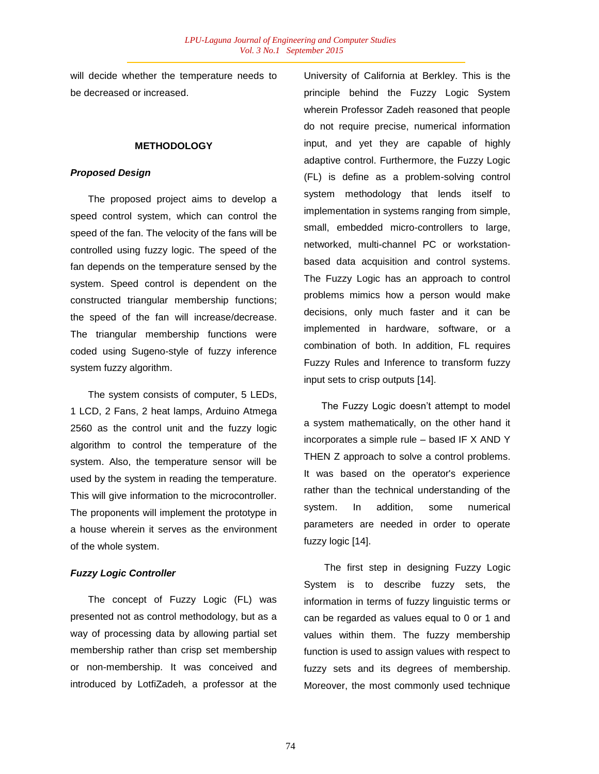will decide whether the temperature needs to be decreased or increased.

### **METHODOLOGY**

#### *Proposed Design*

The proposed project aims to develop a speed control system, which can control the speed of the fan. The velocity of the fans will be controlled using fuzzy logic. The speed of the fan depends on the temperature sensed by the system. Speed control is dependent on the constructed triangular membership functions; the speed of the fan will increase/decrease. The triangular membership functions were coded using Sugeno-style of fuzzy inference system fuzzy algorithm.

The system consists of computer, 5 LEDs, 1 LCD, 2 Fans, 2 heat lamps, Arduino Atmega 2560 as the control unit and the fuzzy logic algorithm to control the temperature of the system. Also, the temperature sensor will be used by the system in reading the temperature. This will give information to the microcontroller. The proponents will implement the prototype in a house wherein it serves as the environment of the whole system.

### *Fuzzy Logic Controller*

The concept of Fuzzy Logic (FL) was presented not as control methodology, but as a way of processing data by allowing partial set membership rather than crisp set membership or non-membership. It was conceived and introduced by LotfiZadeh, a professor at the University of California at Berkley. This is the principle behind the Fuzzy Logic System wherein Professor Zadeh reasoned that people do not require precise, numerical information input, and yet they are capable of highly adaptive control. Furthermore, the Fuzzy Logic (FL) is define as a problem-solving control system methodology that lends itself to implementation in systems ranging from simple, small, embedded micro-controllers to large, networked, multi-channel PC or workstationbased data acquisition and control systems. The Fuzzy Logic has an approach to control problems mimics how a person would make decisions, only much faster and it can be implemented in hardware, software, or a combination of both. In addition, FL requires Fuzzy Rules and Inference to transform fuzzy input sets to crisp outputs [14].

The Fuzzy Logic doesn"t attempt to model a system mathematically, on the other hand it incorporates a simple rule – based IF X AND Y THEN Z approach to solve a control problems. It was based on the operator's experience rather than the technical understanding of the system. In addition, some numerical parameters are needed in order to operate fuzzy logic [14].

The first step in designing Fuzzy Logic System is to describe fuzzy sets, the information in terms of fuzzy linguistic terms or can be regarded as values equal to 0 or 1 and values within them. The fuzzy membership function is used to assign values with respect to fuzzy sets and its degrees of membership. Moreover, the most commonly used technique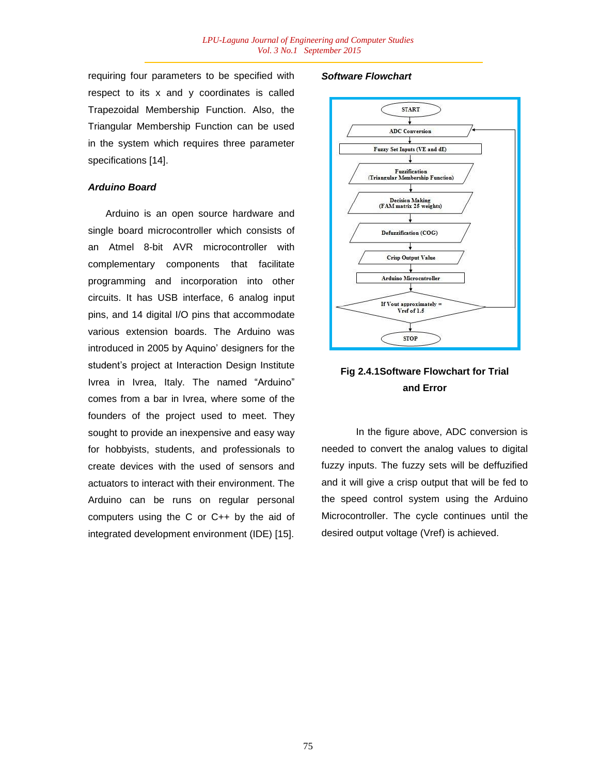requiring four parameters to be specified with respect to its x and y coordinates is called Trapezoidal Membership Function. Also, the Triangular Membership Function can be used in the system which requires three parameter specifications [14].

#### *Arduino Board*

Arduino is an open source hardware and single board microcontroller which consists of an Atmel 8-bit AVR microcontroller with complementary components that facilitate programming and incorporation into other circuits. It has USB interface, 6 analog input pins, and 14 digital I/O pins that accommodate various extension boards. The Arduino was introduced in 2005 by Aquino" designers for the student"s project at Interaction Design Institute Ivrea in Ivrea, Italy. The named "Arduino" comes from a bar in Ivrea, where some of the founders of the project used to meet. They sought to provide an inexpensive and easy way for hobbyists, students, and professionals to create devices with the used of sensors and actuators to interact with their environment. The Arduino can be runs on regular personal computers using the C or C++ by the aid of integrated development environment (IDE) [15].

### *Software Flowchart*



## **Fig 2.4.1Software Flowchart for Trial and Error**

In the figure above, ADC conversion is needed to convert the analog values to digital fuzzy inputs. The fuzzy sets will be deffuzified and it will give a crisp output that will be fed to the speed control system using the Arduino Microcontroller. The cycle continues until the desired output voltage (Vref) is achieved.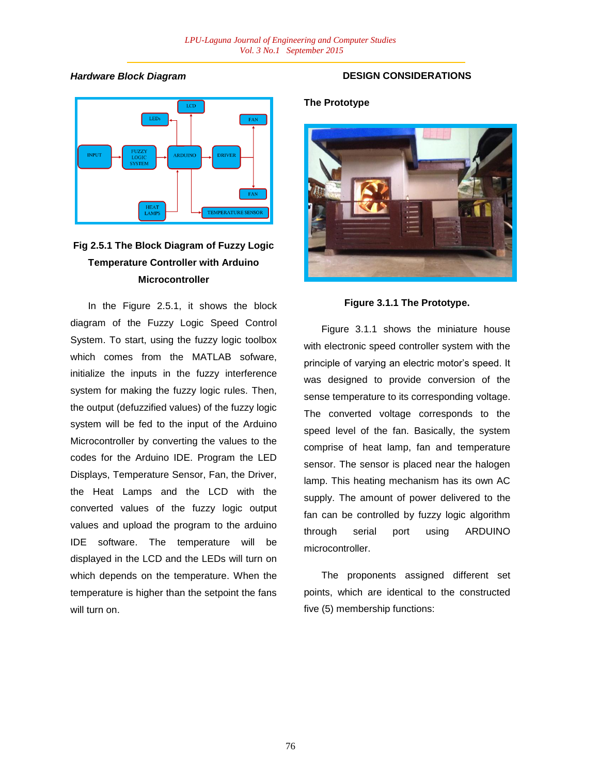### *Hardware Block Diagram*



# **Fig 2.5.1 The Block Diagram of Fuzzy Logic Temperature Controller with Arduino Microcontroller**

In the Figure 2.5.1, it shows the block diagram of the Fuzzy Logic Speed Control System. To start, using the fuzzy logic toolbox which comes from the MATLAB sofware. initialize the inputs in the fuzzy interference system for making the fuzzy logic rules. Then, the output (defuzzified values) of the fuzzy logic system will be fed to the input of the Arduino Microcontroller by converting the values to the codes for the Arduino IDE. Program the LED Displays, Temperature Sensor, Fan, the Driver, the Heat Lamps and the LCD with the converted values of the fuzzy logic output values and upload the program to the arduino IDE software. The temperature will be displayed in the LCD and the LEDs will turn on which depends on the temperature. When the temperature is higher than the setpoint the fans will turn on.

## **DESIGN CONSIDERATIONS**

### **The Prototype**



## **Figure 3.1.1 The Prototype.**

Figure 3.1.1 shows the miniature house with electronic speed controller system with the principle of varying an electric motor"s speed. It was designed to provide conversion of the sense temperature to its corresponding voltage. The converted voltage corresponds to the speed level of the fan. Basically, the system comprise of heat lamp, fan and temperature sensor. The sensor is placed near the halogen lamp. This heating mechanism has its own AC supply. The amount of power delivered to the fan can be controlled by fuzzy logic algorithm through serial port using ARDUINO microcontroller.

The proponents assigned different set points, which are identical to the constructed five (5) membership functions: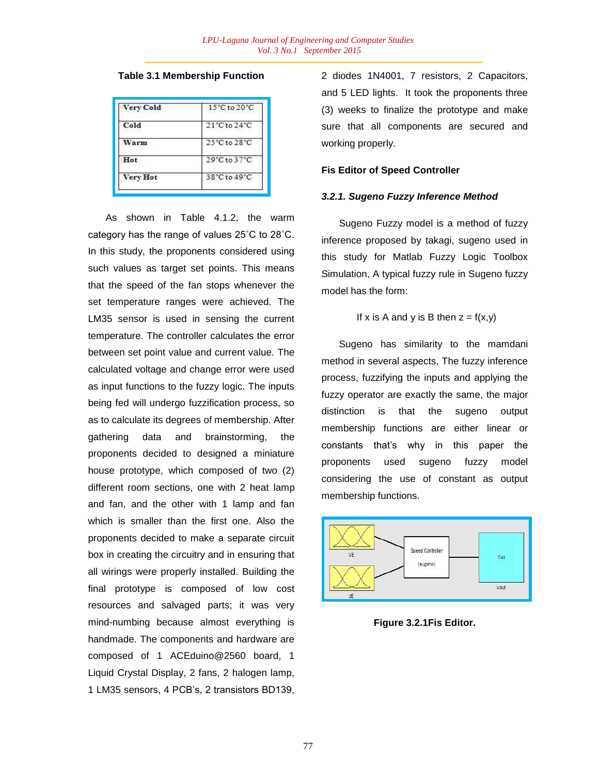### **Table 3.1 Membership Function**

| <b>Very Cold</b> | $15^{\circ}$ C to $20^{\circ}$ C |  |
|------------------|----------------------------------|--|
| Cold             | 21°C to 24°C                     |  |
| Warm             | 25°C to 28°C                     |  |
| Hot              | 29°C to 37°C                     |  |
| Very Hot         | 38°C to 49°C                     |  |

As shown in Table 4.1.2, the warm category has the range of values 25˚C to 28˚C. In this study, the proponents considered using such values as target set points. This means that the speed of the fan stops whenever the set temperature ranges were achieved. The LM35 sensor is used in sensing the current temperature. The controller calculates the error between set point value and current value. The calculated voltage and change error were used as input functions to the fuzzy logic. The inputs being fed will undergo fuzzification process, so as to calculate its degrees of membership. After gathering data and brainstorming, the proponents decided to designed a miniature house prototype, which composed of two (2) different room sections, one with 2 heat lamp and fan, and the other with 1 lamp and fan which is smaller than the first one. Also the proponents decided to make a separate circuit box in creating the circuitry and in ensuring that all wirings were properly installed. Building the final prototype is composed of low cost resources and salvaged parts; it was very mind-numbing because almost everything is handmade. The components and hardware are composed of 1 ACEduino@2560 board, 1 Liquid Crystal Display, 2 fans, 2 halogen lamp, 1 LM35 sensors, 4 PCB"s, 2 transistors BD139,

2 diodes 1N4001, 7 resistors, 2 Capacitors, and 5 LED lights. It took the proponents three (3) weeks to finalize the prototype and make sure that all components are secured and working properly.

#### **Fis Editor of Speed Controller**

#### *3.2.1. Sugeno Fuzzy Inference Method*

Sugeno Fuzzy model is a method of fuzzy inference proposed by takagi, sugeno used in this study for Matlab Fuzzy Logic Toolbox Simulation, A typical fuzzy rule in Sugeno fuzzy model has the form:

### If x is A and y is B then  $z = f(x,y)$

Sugeno has similarity to the mamdani method in several aspects, The fuzzy inference process, fuzzifying the inputs and applying the fuzzy operator are exactly the same, the major distinction is that the sugeno output membership functions are either linear or constants that"s why in this paper the proponents used sugeno fuzzy model considering the use of constant as output membership functions.



**Figure 3.2.1Fis Editor.**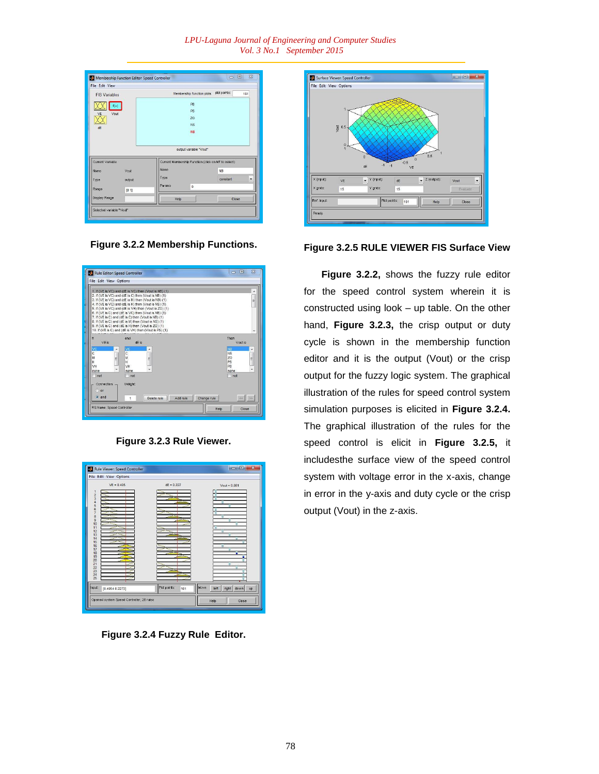| <b>FIS Variables</b> |        | Membership function plots                           | plot points: | 181       |  |
|----------------------|--------|-----------------------------------------------------|--------------|-----------|--|
|                      |        |                                                     |              |           |  |
| f(u)                 |        | PB                                                  |              |           |  |
| VE<br>Vout           |        | <b>PS</b>                                           |              |           |  |
|                      |        | Z <sub>O</sub>                                      |              |           |  |
| dF                   |        | <b>NS</b>                                           |              |           |  |
|                      |        | <b>NB</b>                                           |              |           |  |
|                      |        |                                                     |              |           |  |
|                      |        |                                                     |              |           |  |
|                      |        | output variable "Vout"                              |              |           |  |
| Current Variable     |        | Current Membership Function (click on MF to select) |              |           |  |
| Vout<br>Name         | Name   |                                                     | <b>NB</b>    |           |  |
|                      | Type   |                                                     | constant     | $\ddot{}$ |  |
| output<br>Type       | Params |                                                     |              |           |  |
| Range<br>[0 1]       |        | $\bf 0$                                             |              |           |  |
| <b>Display Range</b> |        | Help                                                | Close        |           |  |
|                      |        |                                                     |              |           |  |

**Figure 3.2.2 Membership Functions.**

|                                                   | 1. If (VE is VC) and (dE is VC) then (Vout is NB) (1).<br>2. If (VE is VC) and (dE is C) then (Vout is NB) (1)<br>3. If (VE is VC) and (dE is M) then (Vout is NB) (1)<br>4. If (VE is VC) and (dE is H) then (Vout is NS) (1)<br>5. If (VE is VC) and (dE is VH) then (Vout is ZO) (1)<br>6. If (VE is C) and (dE is VC) then (Vout is NB) (1)<br>7. If (VE is C) and (dE is C) then (Vout is NB) (1)<br>8. If (VE is C) and (dE is M) then (Vout is NS) (1)<br>9. If (VE is C) and (dE is H) then (Vout is ZO) (1)<br>10. If (VE is C) and (dE is VH) then (Vout is PS) (1) | Ë                                                                                  |
|---------------------------------------------------|-------------------------------------------------------------------------------------------------------------------------------------------------------------------------------------------------------------------------------------------------------------------------------------------------------------------------------------------------------------------------------------------------------------------------------------------------------------------------------------------------------------------------------------------------------------------------------|------------------------------------------------------------------------------------|
|                                                   |                                                                                                                                                                                                                                                                                                                                                                                                                                                                                                                                                                               |                                                                                    |
| Ħ<br><b>VF</b> is                                 | and<br>oF is                                                                                                                                                                                                                                                                                                                                                                                                                                                                                                                                                                  | Then<br>Vout is                                                                    |
| VC<br>$\overline{c}$<br>М<br>E<br>H<br>VH<br>none | vc<br><sub>c</sub><br>M<br>Ξ<br>H<br>VH<br>none                                                                                                                                                                                                                                                                                                                                                                                                                                                                                                                               | N <sub>B</sub><br>۸<br><b>NS</b><br>Z <sub>O</sub><br>f.<br>PS<br>PB<br>٠<br>none. |
| not<br>Connection -<br>or                         | not<br><b>Weight:</b>                                                                                                                                                                                                                                                                                                                                                                                                                                                                                                                                                         | not                                                                                |

**Figure 3.2.3 Rule Viewer.**



**Figure 3.2.4 Fuzzy Rule Editor.**



**Figure 3.2.5 RULE VIEWER FIS Surface View**

**Figure 3.2.2,** shows the fuzzy rule editor for the speed control system wherein it is constructed using look – up table. On the other hand, **Figure 3.2.3,** the crisp output or duty cycle is shown in the membership function editor and it is the output (Vout) or the crisp output for the fuzzy logic system. The graphical illustration of the rules for speed control system simulation purposes is elicited in **Figure 3.2.4.** The graphical illustration of the rules for the speed control is elicit in **Figure 3.2.5,** it includesthe surface view of the speed control system with voltage error in the x-axis, change in error in the y-axis and duty cycle or the crisp output (Vout) in the z-axis.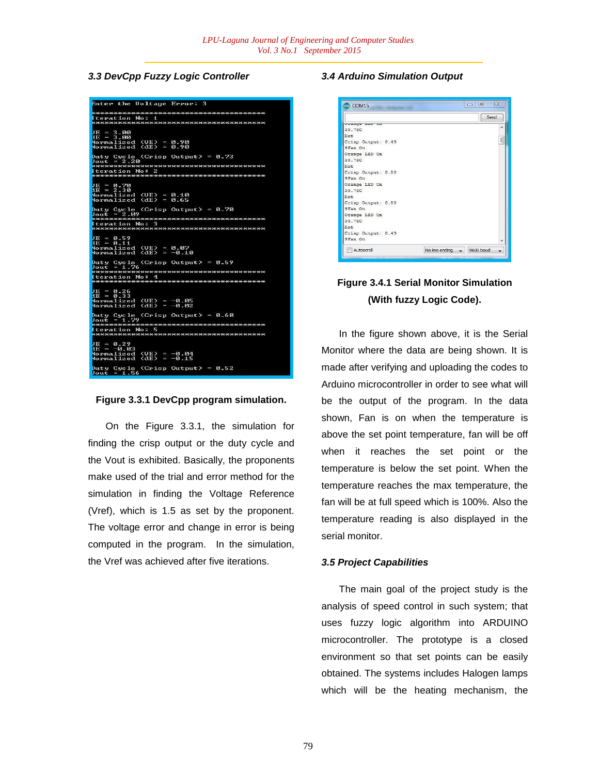### *3.3 DevCpp Fuzzy Logic Controller*

| Enter the Uoltage Error: 3                                                                                                  |
|-----------------------------------------------------------------------------------------------------------------------------|
| <b>Iteration No: 1</b>                                                                                                      |
| $JE = 3.00$<br>$AE = 3.00$<br><b>Normalized (UE) = 0.90</b><br>$Normalized$ $(dE) = 0.90$                                   |
| Duty Cycle (Crisp Output) = $0.73$<br>$Jout = 2.20$<br><u> KRRKA ARRARA KRAKA ARRARA KARRARA KARA KA</u><br>Iteration No: 2 |
|                                                                                                                             |
| $JE = 0.70$<br>$AE = 2.30$<br>Normalized <mark>(UE) = 0.10</mark><br>Normalized (dE) = 0.65                                 |
| Duty Cycle (Crisp Output) = $0.70$<br>$Jout = 2.09$                                                                         |
| Iteration No: 3                                                                                                             |
| $JE = 0.59$<br>$AE = 0.11$<br>Normalized <mark>(UE) = 0.07</mark><br>Normalized (dE) = -0.10                                |
| Duty Cycle (Crisp Output) = $0.59$<br>$Jout = 1.76$                                                                         |
| Iteration No: 4                                                                                                             |
| $JE = 0.26$<br>$AE = 0.33$<br>Normalized <mark>(UE) = -0.05</mark><br>Normalized (dE) = -0.02                               |
| $_{\text{Duty}}$ Cycle (Crisp Output) = 0.60<br>$Jout = 1.79$                                                               |
| <b>Iteration No: 5</b>                                                                                                      |
| $JE = 0.29$<br>$HE = -0.03$<br>Normalized (UE) = -0.04<br>Normalized (dE) = -0.15                                           |
| Duty Cycle (Crisp Output) = $0.52$<br>$Jout = 1.56$                                                                         |

#### **Figure 3.3.1 DevCpp program simulation.**

On the Figure 3.3.1, the simulation for finding the crisp output or the duty cycle and the Vout is exhibited. Basically, the proponents make used of the trial and error method for the simulation in finding the Voltage Reference (Vref), which is 1.5 as set by the proponent. The voltage error and change in error is being computed in the program. In the simulation, the Vref was achieved after five iterations.

### *3.4 Arduino Simulation Output*



## **Figure 3.4.1 Serial Monitor Simulation (With fuzzy Logic Code).**

In the figure shown above, it is the Serial Monitor where the data are being shown. It is made after verifying and uploading the codes to Arduino microcontroller in order to see what will be the output of the program. In the data shown, Fan is on when the temperature is above the set point temperature, fan will be off when it reaches the set point or the temperature is below the set point. When the temperature reaches the max temperature, the fan will be at full speed which is 100%. Also the temperature reading is also displayed in the serial monitor.

### *3.5 Project Capabilities*

The main goal of the project study is the analysis of speed control in such system; that uses fuzzy logic algorithm into ARDUINO microcontroller. The prototype is a closed environment so that set points can be easily obtained. The systems includes Halogen lamps which will be the heating mechanism, the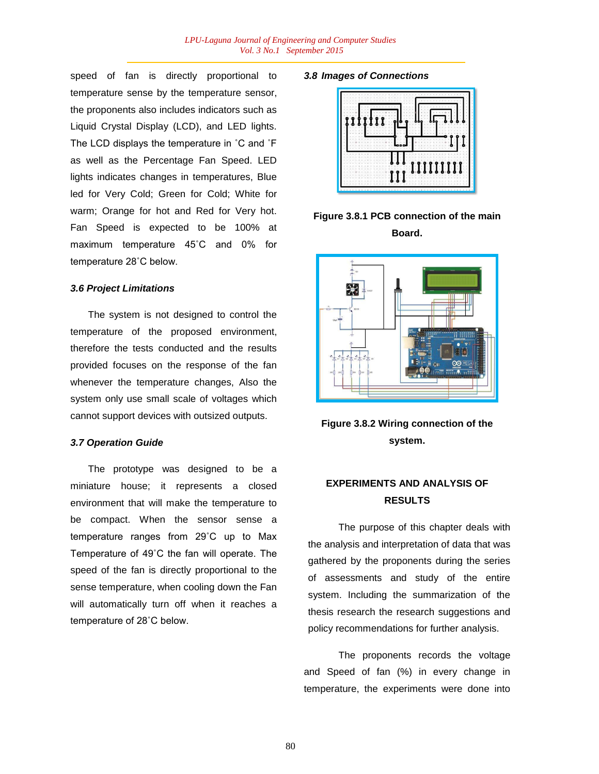speed of fan is directly proportional to temperature sense by the temperature sensor, the proponents also includes indicators such as Liquid Crystal Display (LCD), and LED lights. The LCD displays the temperature in ˚C and ˚F as well as the Percentage Fan Speed. LED lights indicates changes in temperatures, Blue led for Very Cold; Green for Cold; White for warm; Orange for hot and Red for Very hot. Fan Speed is expected to be 100% at maximum temperature 45˚C and 0% for temperature 28˚C below.

#### *3.6 Project Limitations*

The system is not designed to control the temperature of the proposed environment, therefore the tests conducted and the results provided focuses on the response of the fan whenever the temperature changes, Also the system only use small scale of voltages which cannot support devices with outsized outputs.

#### *3.7 Operation Guide*

The prototype was designed to be a miniature house; it represents a closed environment that will make the temperature to be compact. When the sensor sense a temperature ranges from 29˚C up to Max Temperature of 49˚C the fan will operate. The speed of the fan is directly proportional to the sense temperature, when cooling down the Fan will automatically turn off when it reaches a temperature of 28˚C below.

#### *3.8 Images of Connections*



**Figure 3.8.1 PCB connection of the main Board.**



**Figure 3.8.2 Wiring connection of the system.**

## **EXPERIMENTS AND ANALYSIS OF RESULTS**

The purpose of this chapter deals with the analysis and interpretation of data that was gathered by the proponents during the series of assessments and study of the entire system. Including the summarization of the thesis research the research suggestions and policy recommendations for further analysis.

The proponents records the voltage and Speed of fan (%) in every change in temperature, the experiments were done into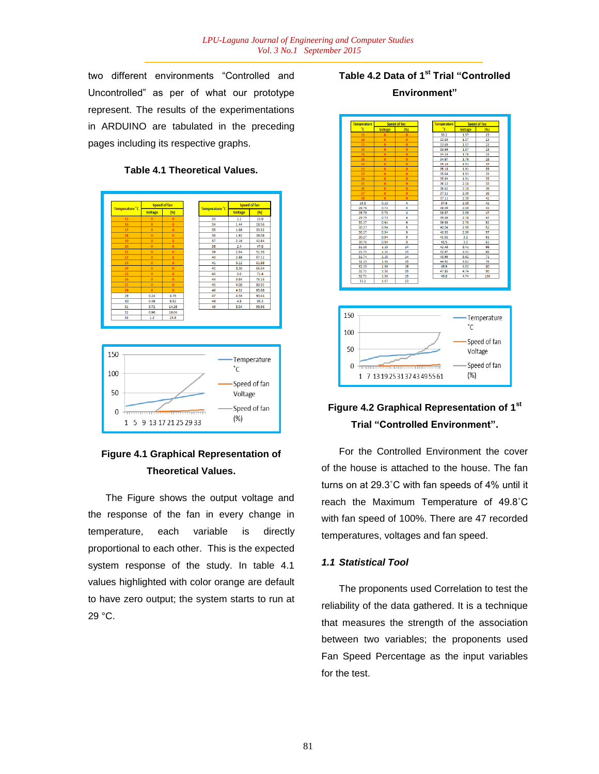two different environments "Controlled and Uncontrolled" as per of what our prototype represent. The results of the experimentations in ARDUINO are tabulated in the preceding pages including its respective graphs.



#### **Table 4.1 Theoretical Values.**

## **Figure 4.1 Graphical Representation of Theoretical Values.**

The Figure shows the output voltage and the response of the fan in every change in temperature, each variable is directly proportional to each other. This is the expected system response of the study. In table 4.1 values highlighted with color orange are default to have zero output; the system starts to run at 29 °C.

# **Table 4.2 Data of 1st Trial "Controlled Environment"**



# **Figure 4.2 Graphical Representation of 1st Trial "Controlled Environment".**

For the Controlled Environment the cover of the house is attached to the house. The fan turns on at 29.3˚C with fan speeds of 4% until it reach the Maximum Temperature of 49.8˚C with fan speed of 100%. There are 47 recorded temperatures, voltages and fan speed.

### *1.1 Statistical Tool*

The proponents used Correlation to test the reliability of the data gathered. It is a technique that measures the strength of the association between two variables; the proponents used Fan Speed Percentage as the input variables for the test.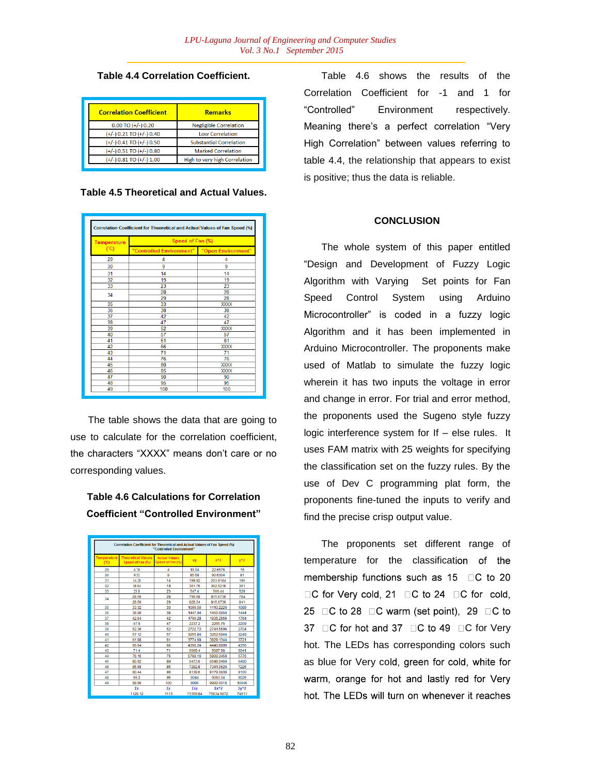### **Table 4.4 Correlation Coefficient.**

| <b>Correlation Coefficient</b> | <b>Remarks</b>                 |  |
|--------------------------------|--------------------------------|--|
| $0.00$ TO $(+/-)$ 0.20         | <b>Negligible Correlation</b>  |  |
| $(+/-)$ 0.21 TO $(+/-)$ 0.40   | <b>Low Correlation</b>         |  |
| $(+/-)$ 0.41 TO $(+/-)$ 0.50   | <b>Substantial Correlation</b> |  |
| $(+/-)$ 0.51 TO $(+/-)$ 0.80   | <b>Marked Correlation</b>      |  |
| $(+/-)$ 0.81 TO $(+/-)$ 1.00   | High to very high Correlation  |  |
|                                |                                |  |

**Table 4.5 Theoretical and Actual Values.**

| <b>Temperature</b><br>(C) | Speed of Fan (%)         |                    |  |
|---------------------------|--------------------------|--------------------|--|
|                           | "Controlled Environment" | "Open Environment" |  |
| 29                        | 4                        | 4                  |  |
| 30                        | 9                        | 9                  |  |
| 31                        | 14                       | 14                 |  |
| 32                        | 19                       | 19                 |  |
| 33                        | 23                       | 23                 |  |
| 34                        | 28                       | 28                 |  |
|                           | 29                       | 28                 |  |
| 35                        | 33                       | <b>XXXX</b>        |  |
| 36                        | 38                       | 38                 |  |
| 37                        | 42                       | 42                 |  |
| 38                        | 47                       | 47                 |  |
| 39                        | 52                       | <b>XXXX</b>        |  |
| 40                        | 57                       | 57                 |  |
| 41                        | 61                       | 61                 |  |
| 42                        | 66                       | <b>XXXX</b>        |  |
| 43                        | 71                       | 71                 |  |
| 44                        | 76                       | 76                 |  |
| 45                        | 80                       | <b>XXXX</b>        |  |
| 46                        | 85                       | <b>XXXX</b>        |  |
| 47                        | 90                       | 90                 |  |
| 48                        | 95                       | 95                 |  |
| 49                        | 100                      | 100                |  |

The table shows the data that are going to use to calculate for the correlation coefficient, the characters "XXXX" means don"t care or no corresponding values.

## **Table 4.6 Calculations for Correlation Coefficient "Controlled Environment"**

| Correlation Coefficient for Theoretical and Actual Values of Fan Speed (%)<br>"Controlled Environment" |                                               |                                          |                 |                            |                       |
|--------------------------------------------------------------------------------------------------------|-----------------------------------------------|------------------------------------------|-----------------|----------------------------|-----------------------|
| <b>Temperature</b><br>(C <sub>C</sub> )                                                                | <b>Theoretical Values</b><br>Speed of Fan (%) | <b>Actual Values</b><br>Speed of Fan (%) | XV              | $x^2$                      | $v^2$                 |
| 29                                                                                                     | 4.76                                          | 4                                        | 19.04           | 22.6576                    | 16                    |
| 30                                                                                                     | 9.52                                          | q                                        | 85.68           | 90.6304                    | 81                    |
| 31                                                                                                     | 14.28                                         | 14                                       | 199 92          | 203 9184                   | 196                   |
| 32                                                                                                     | 19.04                                         | 19                                       | 361.76          | 362.5216                   | 361                   |
| 33                                                                                                     | 23.8                                          | 23                                       | 547.4           | 566.44                     | 529                   |
| 34                                                                                                     | 28.56                                         | 28                                       | 799.68          | 815.6736                   | 784                   |
|                                                                                                        | 28.56                                         | 29                                       | 828.24          | 815 6736                   | 841                   |
| 35                                                                                                     | 33.32                                         | 33                                       | 1099.56         | 1110.2224                  | 1089                  |
| 36                                                                                                     | 38.08                                         | 38                                       | 1447.04         | 1450.0864                  | 1444                  |
| 37                                                                                                     | 42.84                                         | 42                                       | 1799.28         | 1835.2656                  | 1764                  |
| 38                                                                                                     | 47.6                                          | 47                                       | 2237.2          | 2265.76                    | 2209                  |
| 39                                                                                                     | 52.36                                         | 52                                       | 2722.72         | 2741.5696                  | 2704                  |
| 40                                                                                                     | 57.12                                         | 57                                       | 3255.84         | 3262 6944                  | 3249                  |
| 41                                                                                                     | 61.88                                         | 61                                       | 3774.68         | 3829.1344                  | 3721                  |
| 42                                                                                                     | 66.64                                         | 66                                       | 4398.24         | 4440.8896                  | 4356                  |
| 43                                                                                                     | 714                                           | 71                                       | 50694           | 5097.96                    | 5041                  |
| 44                                                                                                     | 76.16                                         | 76                                       | 5788.16         | 5800.3456                  | 5776                  |
| 45                                                                                                     | 80.92                                         | 80                                       | 6473.6          | 6548.0464                  | 6400                  |
| 46                                                                                                     | 85.68                                         | 85                                       | 7282.8          | 7341.0624                  | 7225                  |
| 47                                                                                                     | 90 44                                         | 90                                       | 8139.6          | 8179.3936                  | 8100                  |
| 48                                                                                                     | 95.2                                          | 95                                       | 9044            | 9063.04                    | 9025                  |
| 49                                                                                                     | 99.96                                         | 100                                      | 9996            | 9992.0016                  | 10000                 |
|                                                                                                        | Σx<br>1128.12                                 | Σγ<br>1119                               | Σxν<br>75369.84 | $\Sigma x^2$<br>75834 9872 | $\Sigma v^2$<br>74911 |

Table 4.6 shows the results of the Correlation Coefficient for -1 and 1 for "Controlled" Environment respectively. Meaning there"s a perfect correlation "Very High Correlation" between values referring to table 4.4, the relationship that appears to exist is positive; thus the data is reliable.

### **CONCLUSION**

The whole system of this paper entitled "Design and Development of Fuzzy Logic Algorithm with Varying Set points for Fan Speed Control System using Arduino Microcontroller" is coded in a fuzzy logic Algorithm and it has been implemented in Arduino Microcontroller. The proponents make used of Matlab to simulate the fuzzy logic wherein it has two inputs the voltage in error and change in error. For trial and error method, the proponents used the Sugeno style fuzzy logic interference system for If – else rules. It uses FAM matrix with 25 weights for specifying the classification set on the fuzzy rules. By the use of Dev C programming plat form, the proponents fine-tuned the inputs to verify and find the precise crisp output value.

The proponents set different range of temperature for the classification of the membership functions such as  $15$   $\Box$ C to 20 □C for Very cold, 21 □C to 24 □C for cold, 25  $\Box$ C to 28  $\Box$ C warm (set point), 29  $\Box$ C to 37 DC for hot and 37 DC to 49 DC for Very hot. The LEDs has corresponding colors such as blue for Very cold, green for cold, white for warm, orange for hot and lastly red for Very hot. The LEDs will turn on whenever it reaches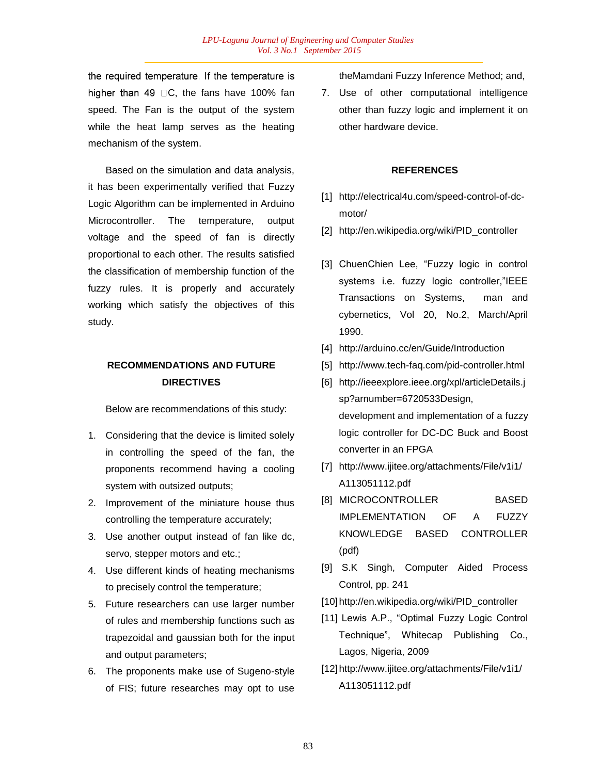the required temperature. If the temperature is higher than 49  $\Box$ C, the fans have 100% fan speed. The Fan is the output of the system while the heat lamp serves as the heating mechanism of the system.

Based on the simulation and data analysis, it has been experimentally verified that Fuzzy Logic Algorithm can be implemented in Arduino Microcontroller. The temperature, output voltage and the speed of fan is directly proportional to each other. The results satisfied the classification of membership function of the fuzzy rules. It is properly and accurately working which satisfy the objectives of this study.

## **RECOMMENDATIONS AND FUTURE DIRECTIVES**

Below are recommendations of this study:

- 1. Considering that the device is limited solely in controlling the speed of the fan, the proponents recommend having a cooling system with outsized outputs;
- 2. Improvement of the miniature house thus controlling the temperature accurately;
- 3. Use another output instead of fan like dc, servo, stepper motors and etc.;
- 4. Use different kinds of heating mechanisms to precisely control the temperature;
- 5. Future researchers can use larger number of rules and membership functions such as trapezoidal and gaussian both for the input and output parameters;
- 6. The proponents make use of Sugeno-style of FIS; future researches may opt to use

theMamdani Fuzzy Inference Method; and,

7. Use of other computational intelligence other than fuzzy logic and implement it on other hardware device.

#### **REFERENCES**

- [1] http://electrical4u.com/speed-control-of-dcmotor/
- [2] http://en.wikipedia.org/wiki/PID\_controller
- [3] ChuenChien Lee, "Fuzzy logic in control systems i.e. fuzzy logic controller,"IEEE Transactions on Systems, man and cybernetics, Vol 20, No.2, March/April 1990.
- [4] http://arduino.cc/en/Guide/Introduction
- [5] http://www.tech-faq.com/pid-controller.html
- [6] http://ieeexplore.ieee.org/xpl/articleDetails.j sp?arnumber=6720533Design, development and implementation of a fuzzy logic controller for DC-DC Buck and Boost converter in an FPGA
- [7] http://www.ijitee.org/attachments/File/v1i1/ A113051112.pdf
- [8] MICROCONTROLLER BASED IMPLEMENTATION OF A FUZZY KNOWLEDGE BASED CONTROLLER (pdf)
- [9] S.K Singh, Computer Aided Process Control, pp. 241
- [10] http://en.wikipedia.org/wiki/PID\_controller
- [11] Lewis A.P., "Optimal Fuzzy Logic Control Technique", Whitecap Publishing Co., Lagos, Nigeria, 2009
- [12] http://www.ijitee.org/attachments/File/v1i1/ A113051112.pdf